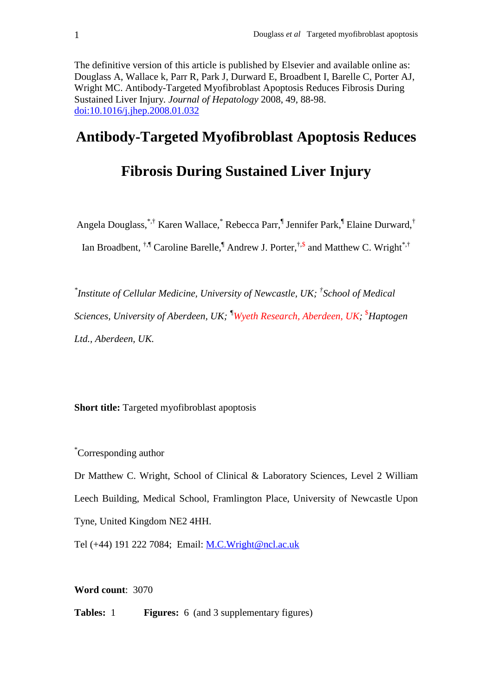The definitive version of this article is published by Elsevier and available online as: Douglass A, Wallace k, Parr R, Park J, Durward E, Broadbent I, Barelle C, Porter AJ, Wright MC. Antibody-Targeted Myofibroblast Apoptosis Reduces Fibrosis During Sustained Liver Injury*. Journal of Hepatology* 2008, 49, 88-98. doi:10.1016/j.jhep.2008.01.032

## **Antibody-Targeted Myofibroblast Apoptosis Reduces**

## **Fibrosis During Sustained Liver Injury**

Angela Douglass,<sup>\*,†</sup> Karen Wallace,<sup>\*</sup> Rebecca Parr,<sup>¶</sup> Jennifer Park,<sup>¶</sup> Elaine Durward,<sup>†</sup>

Ian Broadbent,  $^{\dagger,\P}$  Caroline Barelle,<sup>¶</sup> Andrew J. Porter, $^{\dagger,\$}$  and Matthew C. Wright<sup>\*,†</sup>

*\* Institute of Cellular Medicine, University of Newcastle, UK; † School of Medical Sciences, University of Aberdeen, UK; ¶Wyeth Research, Aberdeen, UK;*  \$*Haptogen Ltd., Aberdeen, UK.* 

**Short title:** Targeted myofibroblast apoptosis

\*Corresponding author

Dr Matthew C. Wright, School of Clinical & Laboratory Sciences, Level 2 William Leech Building, Medical School, Framlington Place, University of Newcastle Upon Tyne, United Kingdom NE2 4HH.

Tel (+44) 191 222 7084; Email: M.C.Wright@ncl.ac.uk

**Word count**: 3070

**Tables:** 1 **Figures:** 6 (and 3 supplementary figures)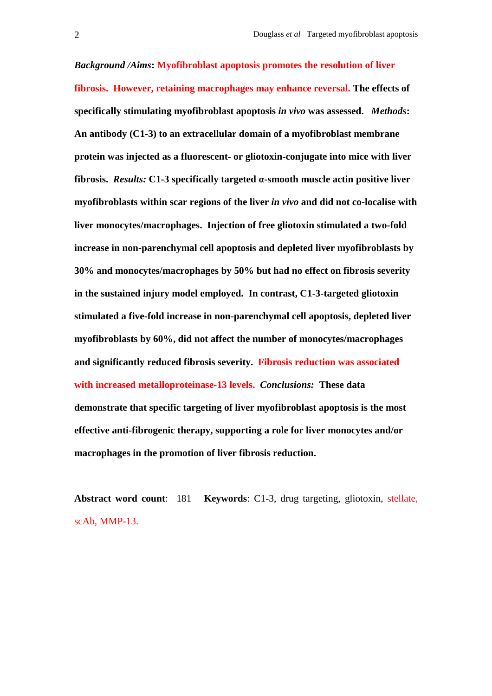*Background /Aims***: Myofibroblast apoptosis promotes the resolution of liver fibrosis. However, retaining macrophages may enhance reversal. The effects of specifically stimulating myofibroblast apoptosis** *in vivo* **was assessed.** *Methods***: An antibody (C1-3) to an extracellular domain of a myofibroblast membrane protein was injected as a fluorescent- or gliotoxin-conjugate into mice with liver fibrosis.** *Results:* **C1-3 specifically targeted** α**-smooth muscle actin positive liver myofibroblasts within scar regions of the liver** *in vivo* **and did not co-localise with liver monocytes/macrophages. Injection of free gliotoxin stimulated a two-fold increase in non-parenchymal cell apoptosis and depleted liver myofibroblasts by 30% and monocytes/macrophages by 50% but had no effect on fibrosis severity in the sustained injury model employed. In contrast, C1-3-targeted gliotoxin stimulated a five-fold increase in non-parenchymal cell apoptosis, depleted liver myofibroblasts by 60%, did not affect the number of monocytes/macrophages and significantly reduced fibrosis severity. Fibrosis reduction was associated with increased metalloproteinase-13 levels.** *Conclusions:* **These data demonstrate that specific targeting of liver myofibroblast apoptosis is the most effective anti-fibrogenic therapy, supporting a role for liver monocytes and/or macrophages in the promotion of liver fibrosis reduction.** 

**Abstract word count**: 181 **Keywords**: C1-3, drug targeting, gliotoxin, stellate, scAb, MMP-13.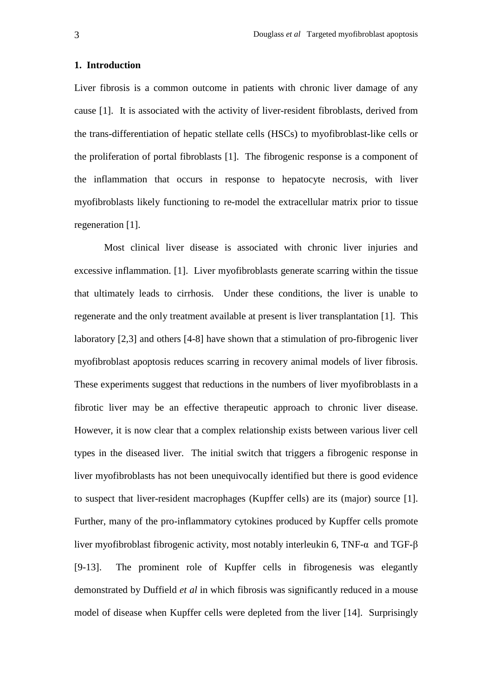#### **1. Introduction**

Liver fibrosis is a common outcome in patients with chronic liver damage of any cause [1]. It is associated with the activity of liver-resident fibroblasts, derived from the trans-differentiation of hepatic stellate cells (HSCs) to myofibroblast-like cells or the proliferation of portal fibroblasts [1]. The fibrogenic response is a component of the inflammation that occurs in response to hepatocyte necrosis, with liver myofibroblasts likely functioning to re-model the extracellular matrix prior to tissue regeneration [1].

 Most clinical liver disease is associated with chronic liver injuries and excessive inflammation. [1]. Liver myofibroblasts generate scarring within the tissue that ultimately leads to cirrhosis. Under these conditions, the liver is unable to regenerate and the only treatment available at present is liver transplantation [1]. This laboratory [2,3] and others [4-8] have shown that a stimulation of pro-fibrogenic liver myofibroblast apoptosis reduces scarring in recovery animal models of liver fibrosis. These experiments suggest that reductions in the numbers of liver myofibroblasts in a fibrotic liver may be an effective therapeutic approach to chronic liver disease. However, it is now clear that a complex relationship exists between various liver cell types in the diseased liver. The initial switch that triggers a fibrogenic response in liver myofibroblasts has not been unequivocally identified but there is good evidence to suspect that liver-resident macrophages (Kupffer cells) are its (major) source [1]. Further, many of the pro-inflammatory cytokines produced by Kupffer cells promote liver myofibroblast fibrogenic activity, most notably interleukin 6, TNF-α and TGF-β [9-13]. The prominent role of Kupffer cells in fibrogenesis was elegantly demonstrated by Duffield *et al* in which fibrosis was significantly reduced in a mouse model of disease when Kupffer cells were depleted from the liver [14]. Surprisingly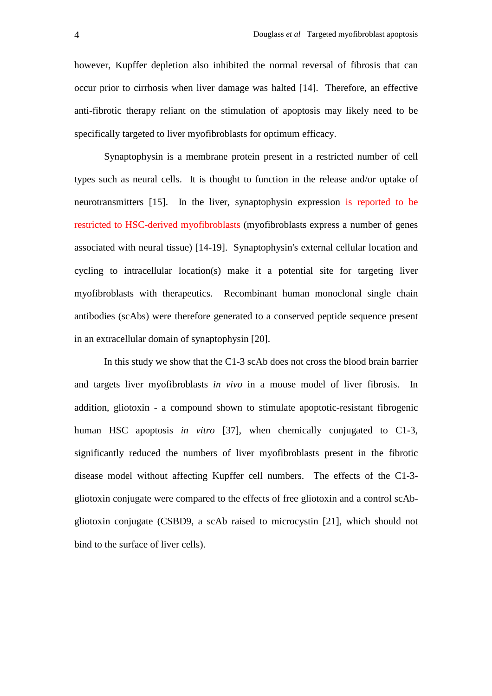however, Kupffer depletion also inhibited the normal reversal of fibrosis that can occur prior to cirrhosis when liver damage was halted [14]. Therefore, an effective anti-fibrotic therapy reliant on the stimulation of apoptosis may likely need to be specifically targeted to liver myofibroblasts for optimum efficacy.

 Synaptophysin is a membrane protein present in a restricted number of cell types such as neural cells. It is thought to function in the release and/or uptake of neurotransmitters [15]. In the liver, synaptophysin expression is reported to be restricted to HSC-derived myofibroblasts (myofibroblasts express a number of genes associated with neural tissue) [14-19]. Synaptophysin's external cellular location and cycling to intracellular location(s) make it a potential site for targeting liver myofibroblasts with therapeutics. Recombinant human monoclonal single chain antibodies (scAbs) were therefore generated to a conserved peptide sequence present in an extracellular domain of synaptophysin [20].

 In this study we show that the C1-3 scAb does not cross the blood brain barrier and targets liver myofibroblasts *in vivo* in a mouse model of liver fibrosis. In addition, gliotoxin - a compound shown to stimulate apoptotic-resistant fibrogenic human HSC apoptosis *in vitro* [37], when chemically conjugated to C1-3, significantly reduced the numbers of liver myofibroblasts present in the fibrotic disease model without affecting Kupffer cell numbers. The effects of the C1-3 gliotoxin conjugate were compared to the effects of free gliotoxin and a control scAbgliotoxin conjugate (CSBD9, a scAb raised to microcystin [21], which should not bind to the surface of liver cells).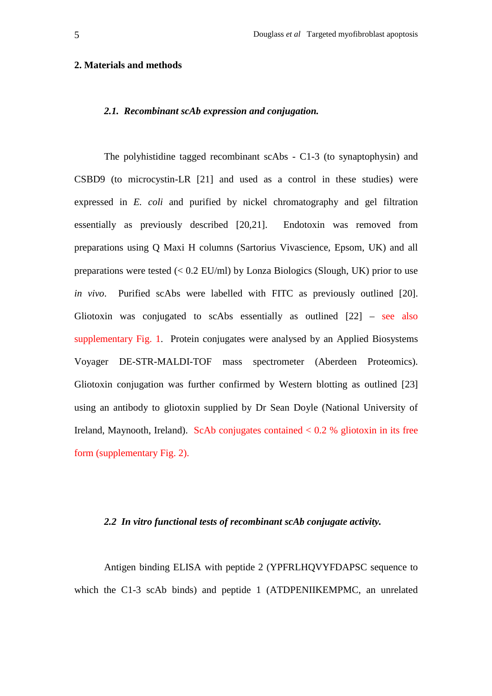#### **2. Materials and methods**

#### *2.1. Recombinant scAb expression and conjugation.*

The polyhistidine tagged recombinant scAbs - C1-3 (to synaptophysin) and CSBD9 (to microcystin-LR [21] and used as a control in these studies) were expressed in *E. coli* and purified by nickel chromatography and gel filtration essentially as previously described [20,21]. Endotoxin was removed from preparations using Q Maxi H columns (Sartorius Vivascience, Epsom, UK) and all preparations were tested  $(< 0.2$  EU/ml) by Lonza Biologics (Slough, UK) prior to use *in vivo*. Purified scAbs were labelled with FITC as previously outlined [20]. Gliotoxin was conjugated to scAbs essentially as outlined  $[22]$  – see also supplementary Fig. 1. Protein conjugates were analysed by an Applied Biosystems Voyager DE-STR-MALDI-TOF mass spectrometer (Aberdeen Proteomics). Gliotoxin conjugation was further confirmed by Western blotting as outlined [23] using an antibody to gliotoxin supplied by Dr Sean Doyle (National University of Ireland, Maynooth, Ireland). ScAb conjugates contained  $< 0.2$  % gliotoxin in its free form (supplementary Fig. 2).

## *2.2 In vitro functional tests of recombinant scAb conjugate activity.*

Antigen binding ELISA with peptide 2 (YPFRLHOVYFDAPSC sequence to which the C1-3 scAb binds) and peptide 1 (ATDPENIIKEMPMC, an unrelated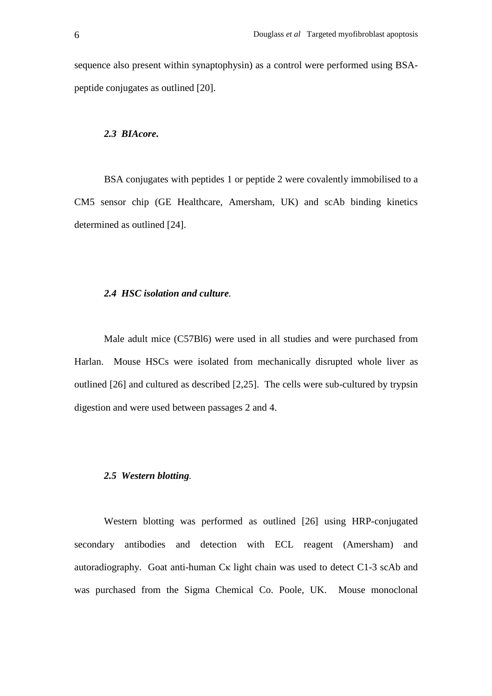sequence also present within synaptophysin) as a control were performed using BSApeptide conjugates as outlined [20].

### *2.3 BIAcore***.**

BSA conjugates with peptides 1 or peptide 2 were covalently immobilised to a CM5 sensor chip (GE Healthcare, Amersham, UK) and scAb binding kinetics determined as outlined [24].

### *2.4 HSC isolation and culture.*

Male adult mice (C57Bl6) were used in all studies and were purchased from Harlan. Mouse HSCs were isolated from mechanically disrupted whole liver as outlined [26] and cultured as described [2,25]. The cells were sub-cultured by trypsin digestion and were used between passages 2 and 4.

## *2.5 Western blotting.*

Western blotting was performed as outlined [26] using HRP-conjugated secondary antibodies and detection with ECL reagent (Amersham) and autoradiography. Goat anti-human Cκ light chain was used to detect C1-3 scAb and was purchased from the Sigma Chemical Co. Poole, UK. Mouse monoclonal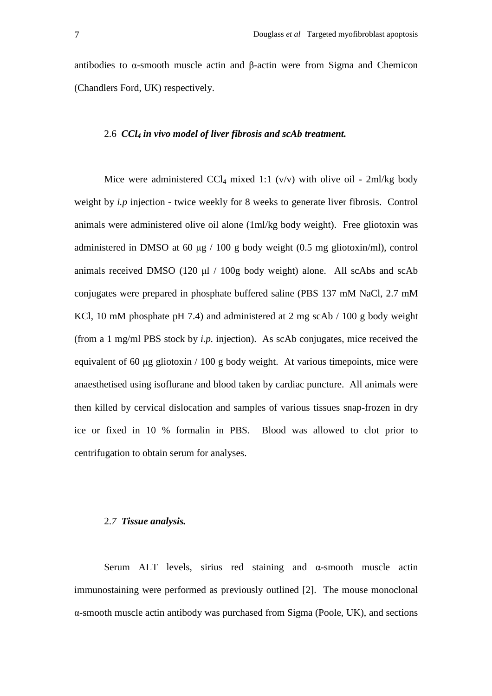antibodies to α-smooth muscle actin and β-actin were from Sigma and Chemicon (Chandlers Ford, UK) respectively.

#### 2.6 *CCl4 in vivo model of liver fibrosis and scAb treatment.*

Mice were administered CCl<sub>4</sub> mixed 1:1 (v/v) with olive oil - 2ml/kg body weight by *i.p* injection - twice weekly for 8 weeks to generate liver fibrosis. Control animals were administered olive oil alone (1ml/kg body weight). Free gliotoxin was administered in DMSO at 60 µg / 100 g body weight (0.5 mg gliotoxin/ml), control animals received DMSO (120 µl / 100g body weight) alone. All scAbs and scAb conjugates were prepared in phosphate buffered saline (PBS 137 mM NaCl, 2.7 mM KCl, 10 mM phosphate pH 7.4) and administered at 2 mg scAb / 100 g body weight (from a 1 mg/ml PBS stock by *i.p.* injection). As scAb conjugates, mice received the equivalent of 60 µg gliotoxin / 100 g body weight. At various timepoints, mice were anaesthetised using isoflurane and blood taken by cardiac puncture. All animals were then killed by cervical dislocation and samples of various tissues snap-frozen in dry ice or fixed in 10 % formalin in PBS. Blood was allowed to clot prior to centrifugation to obtain serum for analyses.

#### 2.*7 Tissue analysis.*

Serum ALT levels, sirius red staining and α-smooth muscle actin immunostaining were performed as previously outlined [2]. The mouse monoclonal α-smooth muscle actin antibody was purchased from Sigma (Poole, UK), and sections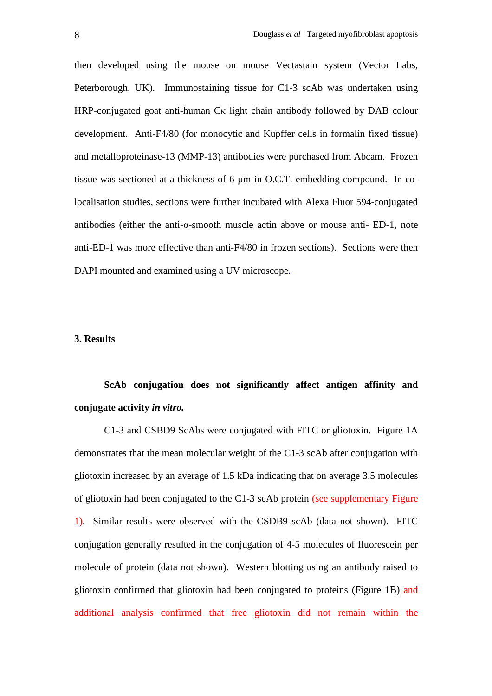then developed using the mouse on mouse Vectastain system (Vector Labs, Peterborough, UK). Immunostaining tissue for C1-3 scAb was undertaken using HRP-conjugated goat anti-human Cκ light chain antibody followed by DAB colour development. Anti-F4/80 (for monocytic and Kupffer cells in formalin fixed tissue) and metalloproteinase-13 (MMP-13) antibodies were purchased from Abcam. Frozen tissue was sectioned at a thickness of 6 µm in O.C.T. embedding compound. In colocalisation studies, sections were further incubated with Alexa Fluor 594-conjugated antibodies (either the anti-α-smooth muscle actin above or mouse anti- ED-1, note anti-ED-1 was more effective than anti-F4/80 in frozen sections). Sections were then DAPI mounted and examined using a UV microscope.

## **3. Results**

**ScAb conjugation does not significantly affect antigen affinity and conjugate activity** *in vitro.*

C1-3 and CSBD9 ScAbs were conjugated with FITC or gliotoxin. Figure 1A demonstrates that the mean molecular weight of the C1-3 scAb after conjugation with gliotoxin increased by an average of 1.5 kDa indicating that on average 3.5 molecules of gliotoxin had been conjugated to the C1-3 scAb protein (see supplementary Figure 1). Similar results were observed with the CSDB9 scAb (data not shown). FITC conjugation generally resulted in the conjugation of 4-5 molecules of fluorescein per molecule of protein (data not shown). Western blotting using an antibody raised to gliotoxin confirmed that gliotoxin had been conjugated to proteins (Figure 1B) and additional analysis confirmed that free gliotoxin did not remain within the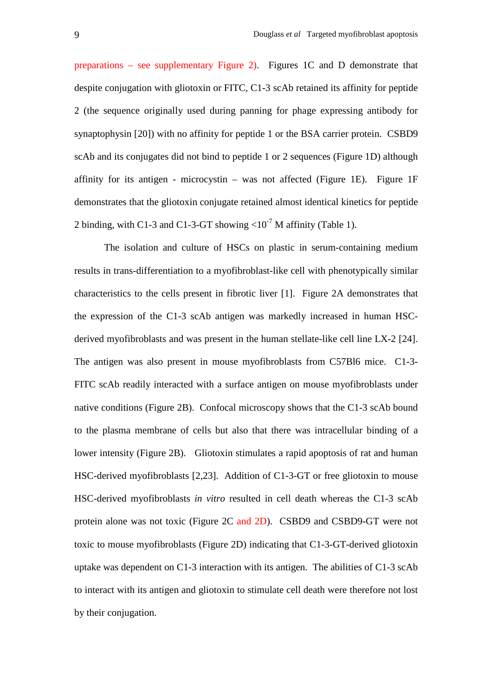preparations – see supplementary Figure 2). Figures 1C and D demonstrate that despite conjugation with gliotoxin or FITC, C1-3 scAb retained its affinity for peptide 2 (the sequence originally used during panning for phage expressing antibody for synaptophysin [20]) with no affinity for peptide 1 or the BSA carrier protein. CSBD9 scAb and its conjugates did not bind to peptide 1 or 2 sequences (Figure 1D) although affinity for its antigen - microcystin – was not affected (Figure 1E). Figure 1F demonstrates that the gliotoxin conjugate retained almost identical kinetics for peptide 2 binding, with C1-3 and C1-3-GT showing  $\langle 10^7 \text{ M} \text{ affinity (Table 1)} \rangle$ .

 The isolation and culture of HSCs on plastic in serum-containing medium results in trans-differentiation to a myofibroblast-like cell with phenotypically similar characteristics to the cells present in fibrotic liver [1]. Figure 2A demonstrates that the expression of the C1-3 scAb antigen was markedly increased in human HSCderived myofibroblasts and was present in the human stellate-like cell line LX-2 [24]. The antigen was also present in mouse myofibroblasts from C57Bl6 mice. C1-3- FITC scAb readily interacted with a surface antigen on mouse myofibroblasts under native conditions (Figure 2B). Confocal microscopy shows that the C1-3 scAb bound to the plasma membrane of cells but also that there was intracellular binding of a lower intensity (Figure 2B). Gliotoxin stimulates a rapid apoptosis of rat and human HSC-derived myofibroblasts [2,23]. Addition of C1-3-GT or free gliotoxin to mouse HSC-derived myofibroblasts *in vitro* resulted in cell death whereas the C1-3 scAb protein alone was not toxic (Figure 2C and 2D). CSBD9 and CSBD9-GT were not toxic to mouse myofibroblasts (Figure 2D) indicating that C1-3-GT-derived gliotoxin uptake was dependent on C1-3 interaction with its antigen. The abilities of C1-3 scAb to interact with its antigen and gliotoxin to stimulate cell death were therefore not lost by their conjugation.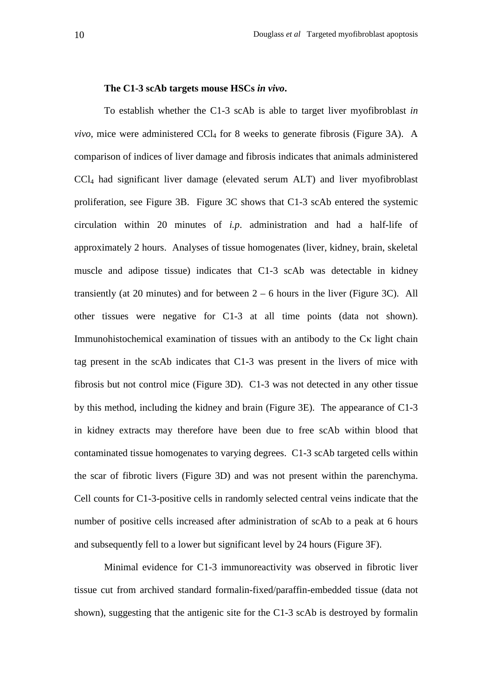#### **The C1-3 scAb targets mouse HSCs** *in vivo***.**

To establish whether the C1-3 scAb is able to target liver myofibroblast *in vivo*, mice were administered CCl<sub>4</sub> for 8 weeks to generate fibrosis (Figure 3A). A comparison of indices of liver damage and fibrosis indicates that animals administered CCl4 had significant liver damage (elevated serum ALT) and liver myofibroblast proliferation, see Figure 3B. Figure 3C shows that C1-3 scAb entered the systemic circulation within 20 minutes of *i.p*. administration and had a half-life of approximately 2 hours. Analyses of tissue homogenates (liver, kidney, brain, skeletal muscle and adipose tissue) indicates that C1-3 scAb was detectable in kidney transiently (at 20 minutes) and for between  $2 - 6$  hours in the liver (Figure 3C). All other tissues were negative for C1-3 at all time points (data not shown). Immunohistochemical examination of tissues with an antibody to the Cκ light chain tag present in the scAb indicates that C1-3 was present in the livers of mice with fibrosis but not control mice (Figure 3D). C1-3 was not detected in any other tissue by this method, including the kidney and brain (Figure 3E). The appearance of C1-3 in kidney extracts may therefore have been due to free scAb within blood that contaminated tissue homogenates to varying degrees. C1-3 scAb targeted cells within the scar of fibrotic livers (Figure 3D) and was not present within the parenchyma. Cell counts for C1-3-positive cells in randomly selected central veins indicate that the number of positive cells increased after administration of scAb to a peak at 6 hours and subsequently fell to a lower but significant level by 24 hours (Figure 3F).

Minimal evidence for C1-3 immunoreactivity was observed in fibrotic liver tissue cut from archived standard formalin-fixed/paraffin-embedded tissue (data not shown), suggesting that the antigenic site for the C1-3 scAb is destroyed by formalin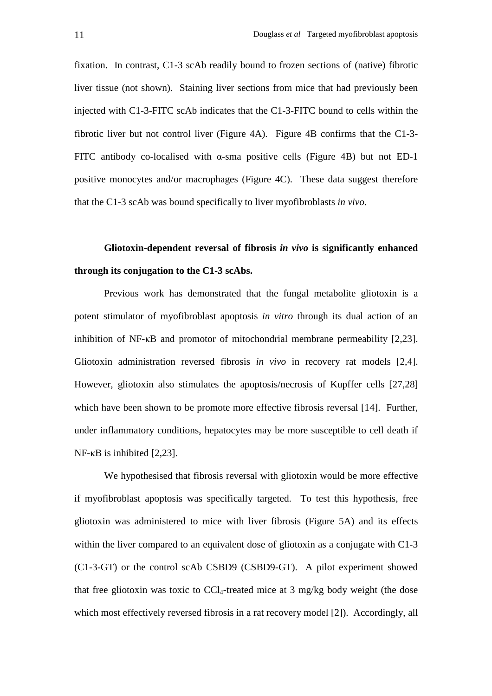fixation. In contrast, C1-3 scAb readily bound to frozen sections of (native) fibrotic liver tissue (not shown). Staining liver sections from mice that had previously been injected with C1-3-FITC scAb indicates that the C1-3-FITC bound to cells within the fibrotic liver but not control liver (Figure 4A). Figure 4B confirms that the C1-3- FITC antibody co-localised with  $\alpha$ -sma positive cells (Figure 4B) but not ED-1 positive monocytes and/or macrophages (Figure 4C). These data suggest therefore that the C1-3 scAb was bound specifically to liver myofibroblasts *in vivo*.

# **Gliotoxin-dependent reversal of fibrosis** *in vivo* **is significantly enhanced through its conjugation to the C1-3 scAbs.**

Previous work has demonstrated that the fungal metabolite gliotoxin is a potent stimulator of myofibroblast apoptosis *in vitro* through its dual action of an inhibition of NF-κB and promotor of mitochondrial membrane permeability [2,23]. Gliotoxin administration reversed fibrosis *in vivo* in recovery rat models [2,4]. However, gliotoxin also stimulates the apoptosis/necrosis of Kupffer cells [27,28] which have been shown to be promote more effective fibrosis reversal [14]. Further, under inflammatory conditions, hepatocytes may be more susceptible to cell death if NF-κB is inhibited [2,23].

We hypothesised that fibrosis reversal with gliotoxin would be more effective if myofibroblast apoptosis was specifically targeted. To test this hypothesis, free gliotoxin was administered to mice with liver fibrosis (Figure 5A) and its effects within the liver compared to an equivalent dose of gliotoxin as a conjugate with C1-3 (C1-3-GT) or the control scAb CSBD9 (CSBD9-GT). A pilot experiment showed that free gliotoxin was toxic to  $CCl_4$ -treated mice at 3 mg/kg body weight (the dose which most effectively reversed fibrosis in a rat recovery model [2]). Accordingly, all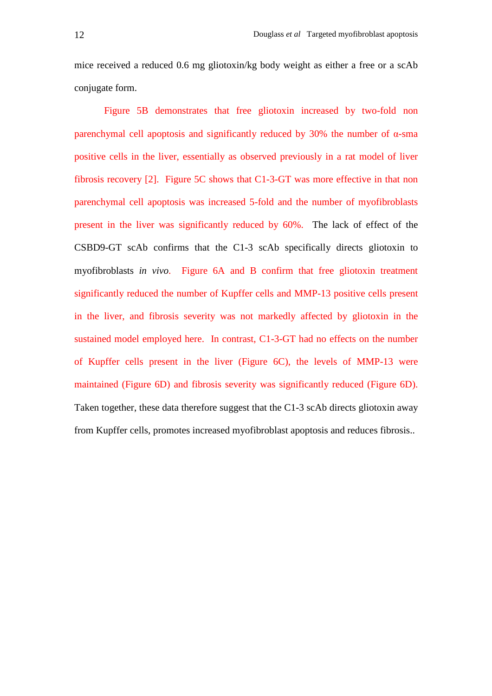mice received a reduced 0.6 mg gliotoxin/kg body weight as either a free or a scAb conjugate form.

Figure 5B demonstrates that free gliotoxin increased by two-fold non parenchymal cell apoptosis and significantly reduced by 30% the number of α-sma positive cells in the liver, essentially as observed previously in a rat model of liver fibrosis recovery [2]. Figure 5C shows that C1-3-GT was more effective in that non parenchymal cell apoptosis was increased 5-fold and the number of myofibroblasts present in the liver was significantly reduced by 60%. The lack of effect of the CSBD9-GT scAb confirms that the C1-3 scAb specifically directs gliotoxin to myofibroblasts *in vivo*. Figure 6A and B confirm that free gliotoxin treatment significantly reduced the number of Kupffer cells and MMP-13 positive cells present in the liver, and fibrosis severity was not markedly affected by gliotoxin in the sustained model employed here. In contrast, C1-3-GT had no effects on the number of Kupffer cells present in the liver (Figure 6C), the levels of MMP-13 were maintained (Figure 6D) and fibrosis severity was significantly reduced (Figure 6D). Taken together, these data therefore suggest that the C1-3 scAb directs gliotoxin away from Kupffer cells, promotes increased myofibroblast apoptosis and reduces fibrosis..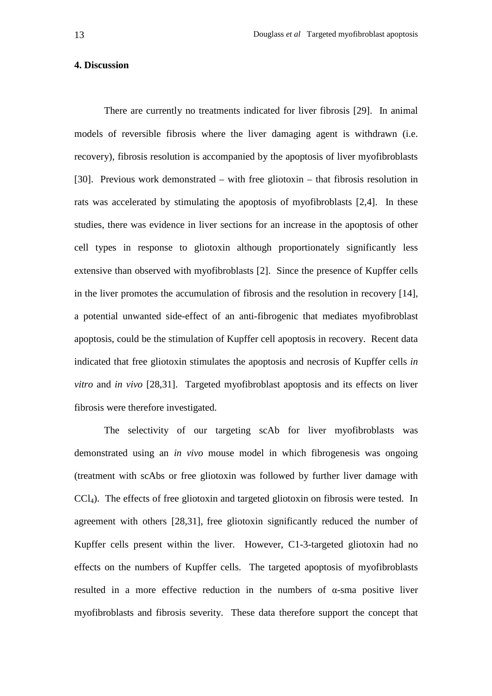#### **4. Discussion**

There are currently no treatments indicated for liver fibrosis [29]. In animal models of reversible fibrosis where the liver damaging agent is withdrawn (i.e. recovery), fibrosis resolution is accompanied by the apoptosis of liver myofibroblasts [30]. Previous work demonstrated – with free gliotoxin – that fibrosis resolution in rats was accelerated by stimulating the apoptosis of myofibroblasts [2,4]. In these studies, there was evidence in liver sections for an increase in the apoptosis of other cell types in response to gliotoxin although proportionately significantly less extensive than observed with myofibroblasts [2]. Since the presence of Kupffer cells in the liver promotes the accumulation of fibrosis and the resolution in recovery [14], a potential unwanted side-effect of an anti-fibrogenic that mediates myofibroblast apoptosis, could be the stimulation of Kupffer cell apoptosis in recovery. Recent data indicated that free gliotoxin stimulates the apoptosis and necrosis of Kupffer cells *in vitro* and *in vivo* [28,31]. Targeted myofibroblast apoptosis and its effects on liver fibrosis were therefore investigated.

The selectivity of our targeting scAb for liver myofibroblasts was demonstrated using an *in vivo* mouse model in which fibrogenesis was ongoing (treatment with scAbs or free gliotoxin was followed by further liver damage with CCl4). The effects of free gliotoxin and targeted gliotoxin on fibrosis were tested. In agreement with others [28,31], free gliotoxin significantly reduced the number of Kupffer cells present within the liver. However, C1-3-targeted gliotoxin had no effects on the numbers of Kupffer cells. The targeted apoptosis of myofibroblasts resulted in a more effective reduction in the numbers of  $\alpha$ -sma positive liver myofibroblasts and fibrosis severity. These data therefore support the concept that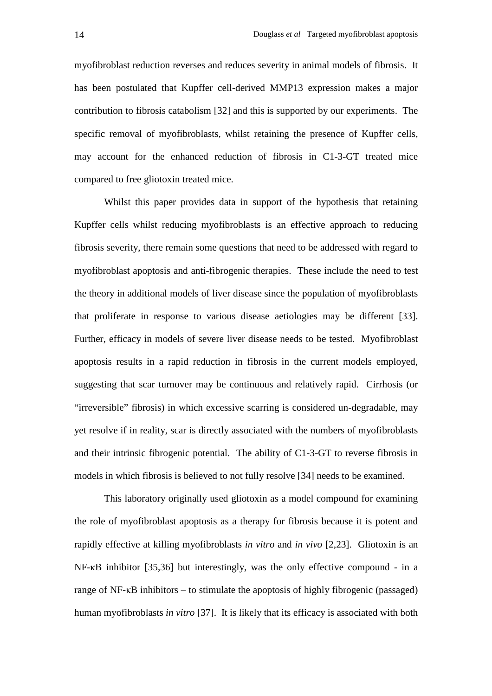myofibroblast reduction reverses and reduces severity in animal models of fibrosis. It has been postulated that Kupffer cell-derived MMP13 expression makes a major contribution to fibrosis catabolism [32] and this is supported by our experiments. The specific removal of myofibroblasts, whilst retaining the presence of Kupffer cells, may account for the enhanced reduction of fibrosis in C1-3-GT treated mice compared to free gliotoxin treated mice.

Whilst this paper provides data in support of the hypothesis that retaining Kupffer cells whilst reducing myofibroblasts is an effective approach to reducing fibrosis severity, there remain some questions that need to be addressed with regard to myofibroblast apoptosis and anti-fibrogenic therapies. These include the need to test the theory in additional models of liver disease since the population of myofibroblasts that proliferate in response to various disease aetiologies may be different [33]. Further, efficacy in models of severe liver disease needs to be tested. Myofibroblast apoptosis results in a rapid reduction in fibrosis in the current models employed, suggesting that scar turnover may be continuous and relatively rapid. Cirrhosis (or "irreversible" fibrosis) in which excessive scarring is considered un-degradable, may yet resolve if in reality, scar is directly associated with the numbers of myofibroblasts and their intrinsic fibrogenic potential. The ability of C1-3-GT to reverse fibrosis in models in which fibrosis is believed to not fully resolve [34] needs to be examined.

This laboratory originally used gliotoxin as a model compound for examining the role of myofibroblast apoptosis as a therapy for fibrosis because it is potent and rapidly effective at killing myofibroblasts *in vitro* and *in vivo* [2,23]. Gliotoxin is an NF-κB inhibitor [35,36] but interestingly, was the only effective compound - in a range of  $NF$ - $\kappa$ B inhibitors – to stimulate the apoptosis of highly fibrogenic (passaged) human myofibroblasts *in vitro* [37]. It is likely that its efficacy is associated with both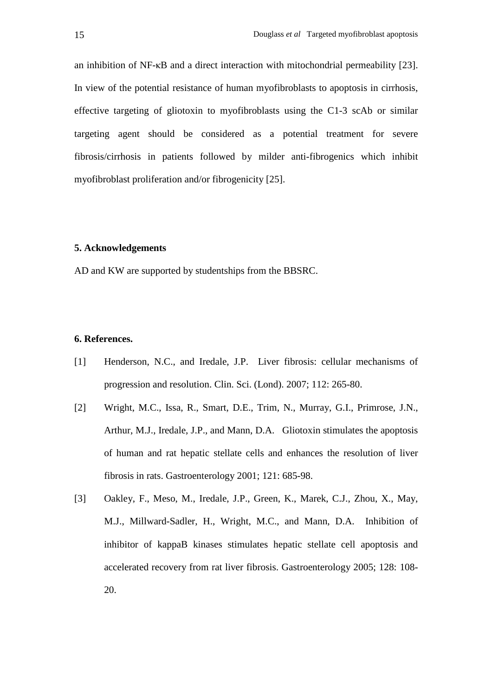an inhibition of NF-κB and a direct interaction with mitochondrial permeability [23]. In view of the potential resistance of human myofibroblasts to apoptosis in cirrhosis, effective targeting of gliotoxin to myofibroblasts using the C1-3 scAb or similar targeting agent should be considered as a potential treatment for severe fibrosis/cirrhosis in patients followed by milder anti-fibrogenics which inhibit myofibroblast proliferation and/or fibrogenicity [25].

#### **5. Acknowledgements**

AD and KW are supported by studentships from the BBSRC.

## **6. References.**

- [1] Henderson, N.C., and Iredale, J.P. Liver fibrosis: cellular mechanisms of progression and resolution. Clin. Sci. (Lond). 2007; 112: 265-80.
- [2] Wright, M.C., Issa, R., Smart, D.E., Trim, N., Murray, G.I., Primrose, J.N., Arthur, M.J., Iredale, J.P., and Mann, D.A. Gliotoxin stimulates the apoptosis of human and rat hepatic stellate cells and enhances the resolution of liver fibrosis in rats. Gastroenterology 2001; 121: 685-98.
- [3] Oakley, F., Meso, M., Iredale, J.P., Green, K., Marek, C.J., Zhou, X., May, M.J., Millward-Sadler, H., Wright, M.C., and Mann, D.A. Inhibition of inhibitor of kappaB kinases stimulates hepatic stellate cell apoptosis and accelerated recovery from rat liver fibrosis. Gastroenterology 2005; 128: 108- 20.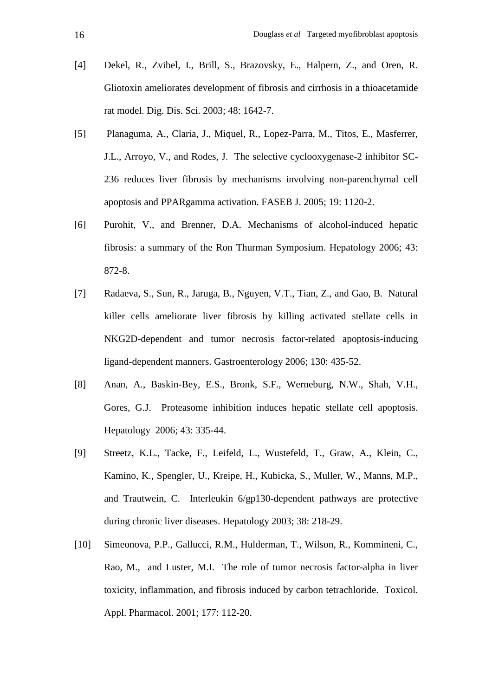- [4] Dekel, R., Zvibel, I., Brill, S., Brazovsky, E., Halpern, Z., and Oren, R. Gliotoxin ameliorates development of fibrosis and cirrhosis in a thioacetamide rat model. Dig. Dis. Sci. 2003; 48: 1642-7.
- [5] Planaguma, A., Claria, J., Miquel, R., Lopez-Parra, M., Titos, E., Masferrer, J.L., Arroyo, V., and Rodes, J. The selective cyclooxygenase-2 inhibitor SC-236 reduces liver fibrosis by mechanisms involving non-parenchymal cell apoptosis and PPARgamma activation. FASEB J. 2005; 19: 1120-2.
- [6] Purohit, V., and Brenner, D.A. Mechanisms of alcohol-induced hepatic fibrosis: a summary of the Ron Thurman Symposium. Hepatology 2006; 43: 872-8.
- [7] Radaeva, S., Sun, R., Jaruga, B., Nguyen, V.T., Tian, Z., and Gao, B. Natural killer cells ameliorate liver fibrosis by killing activated stellate cells in NKG2D-dependent and tumor necrosis factor-related apoptosis-inducing ligand-dependent manners. Gastroenterology 2006; 130: 435-52.
- [8] Anan, A., Baskin-Bey, E.S., Bronk, S.F., Werneburg, N.W., Shah, V.H., Gores, G.J. Proteasome inhibition induces hepatic stellate cell apoptosis. Hepatology 2006; 43: 335-44.
- [9] Streetz, K.L., Tacke, F., Leifeld, L., Wustefeld, T., Graw, A., Klein, C., Kamino, K., Spengler, U., Kreipe, H., Kubicka, S., Muller, W., Manns, M.P., and Trautwein, C. Interleukin 6/gp130-dependent pathways are protective during chronic liver diseases. Hepatology 2003; 38: 218-29.
- [10] Simeonova, P.P., Gallucci, R.M., Hulderman, T., Wilson, R., Kommineni, C., Rao, M., and Luster, M.I. The role of tumor necrosis factor-alpha in liver toxicity, inflammation, and fibrosis induced by carbon tetrachloride. Toxicol. Appl. Pharmacol. 2001; 177: 112-20.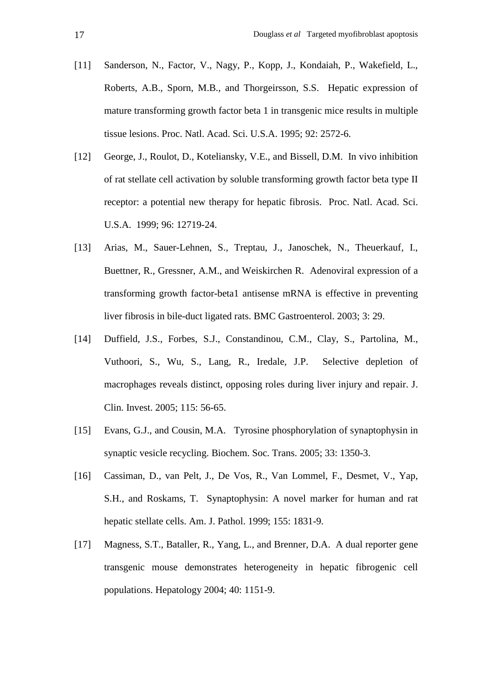- [11] Sanderson, N., Factor, V., Nagy, P., Kopp, J., Kondaiah, P., Wakefield, L., Roberts, A.B., Sporn, M.B., and Thorgeirsson, S.S. Hepatic expression of mature transforming growth factor beta 1 in transgenic mice results in multiple tissue lesions. Proc. Natl. Acad. Sci. U.S.A. 1995; 92: 2572-6.
- [12] George, J., Roulot, D., Koteliansky, V.E., and Bissell, D.M. In vivo inhibition of rat stellate cell activation by soluble transforming growth factor beta type II receptor: a potential new therapy for hepatic fibrosis. Proc. Natl. Acad. Sci. U.S.A. 1999; 96: 12719-24.
- [13] Arias, M., Sauer-Lehnen, S., Treptau, J., Janoschek, N., Theuerkauf, I., Buettner, R., Gressner, A.M., and Weiskirchen R. Adenoviral expression of a transforming growth factor-beta1 antisense mRNA is effective in preventing liver fibrosis in bile-duct ligated rats. BMC Gastroenterol. 2003; 3: 29.
- [14] Duffield, J.S., Forbes, S.J., Constandinou, C.M., Clay, S., Partolina, M., Vuthoori, S., Wu, S., Lang, R., Iredale, J.P. Selective depletion of macrophages reveals distinct, opposing roles during liver injury and repair. J. Clin. Invest. 2005; 115: 56-65.
- [15] Evans, G.J., and Cousin, M.A. Tyrosine phosphorylation of synaptophysin in synaptic vesicle recycling. Biochem. Soc. Trans. 2005; 33: 1350-3.
- [16] Cassiman, D., van Pelt, J., De Vos, R., Van Lommel, F., Desmet, V., Yap, S.H., and Roskams, T. Synaptophysin: A novel marker for human and rat hepatic stellate cells. Am. J. Pathol. 1999; 155: 1831-9.
- [17] Magness, S.T., Bataller, R., Yang, L., and Brenner, D.A. A dual reporter gene transgenic mouse demonstrates heterogeneity in hepatic fibrogenic cell populations. Hepatology 2004; 40: 1151-9.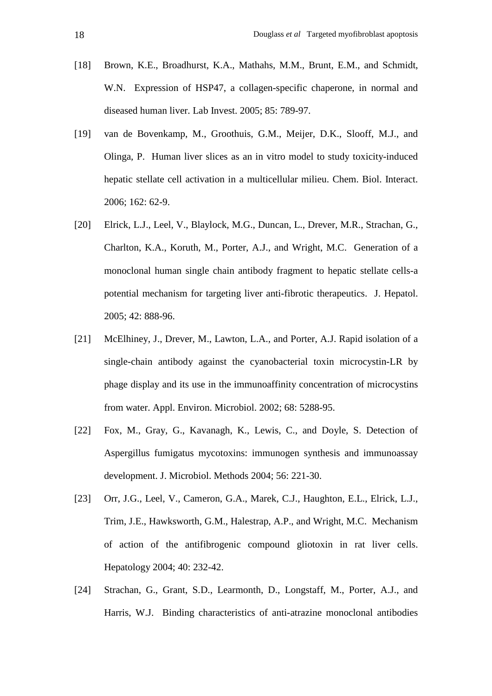- [18] Brown, K.E., Broadhurst, K.A., Mathahs, M.M., Brunt, E.M., and Schmidt, W.N. Expression of HSP47, a collagen-specific chaperone, in normal and diseased human liver. Lab Invest. 2005; 85: 789-97.
- [19] van de Bovenkamp, M., Groothuis, G.M., Meijer, D.K., Slooff, M.J., and Olinga, P. Human liver slices as an in vitro model to study toxicity-induced hepatic stellate cell activation in a multicellular milieu. Chem. Biol. Interact. 2006; 162: 62-9.
- [20] Elrick, L.J., Leel, V., Blaylock, M.G., Duncan, L., Drever, M.R., Strachan, G., Charlton, K.A., Koruth, M., Porter, A.J., and Wright, M.C. Generation of a monoclonal human single chain antibody fragment to hepatic stellate cells-a potential mechanism for targeting liver anti-fibrotic therapeutics. J. Hepatol. 2005; 42: 888-96.
- [21] McElhiney, J., Drever, M., Lawton, L.A., and Porter, A.J. Rapid isolation of a single-chain antibody against the cyanobacterial toxin microcystin-LR by phage display and its use in the immunoaffinity concentration of microcystins from water. Appl. Environ. Microbiol. 2002; 68: 5288-95.
- [22] Fox, M., Gray, G., Kavanagh, K., Lewis, C., and Doyle, S. Detection of Aspergillus fumigatus mycotoxins: immunogen synthesis and immunoassay development. J. Microbiol. Methods 2004; 56: 221-30.
- [23] Orr, J.G., Leel, V., Cameron, G.A., Marek, C.J., Haughton, E.L., Elrick, L.J., Trim, J.E., Hawksworth, G.M., Halestrap, A.P., and Wright, M.C. Mechanism of action of the antifibrogenic compound gliotoxin in rat liver cells. Hepatology 2004; 40: 232-42.
- [24] Strachan, G., Grant, S.D., Learmonth, D., Longstaff, M., Porter, A.J., and Harris, W.J. Binding characteristics of anti-atrazine monoclonal antibodies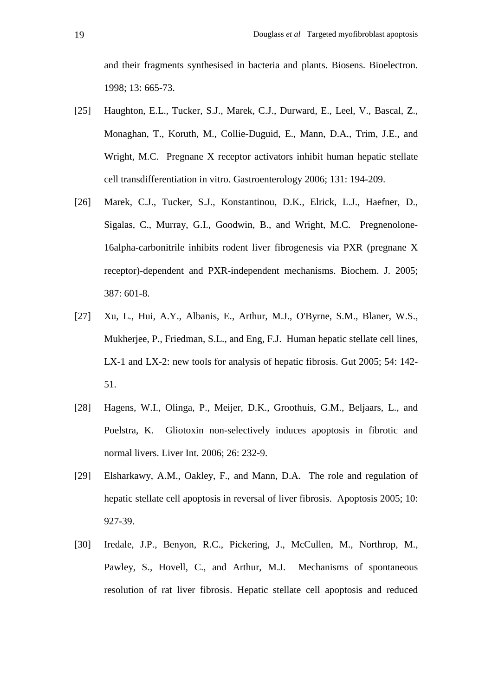and their fragments synthesised in bacteria and plants. Biosens. Bioelectron. 1998; 13: 665-73.

- [25] Haughton, E.L., Tucker, S.J., Marek, C.J., Durward, E., Leel, V., Bascal, Z., Monaghan, T., Koruth, M., Collie-Duguid, E., Mann, D.A., Trim, J.E., and Wright, M.C. Pregnane X receptor activators inhibit human hepatic stellate cell transdifferentiation in vitro. Gastroenterology 2006; 131: 194-209.
- [26] Marek, C.J., Tucker, S.J., Konstantinou, D.K., Elrick, L.J., Haefner, D., Sigalas, C., Murray, G.I., Goodwin, B., and Wright, M.C. Pregnenolone-16alpha-carbonitrile inhibits rodent liver fibrogenesis via PXR (pregnane X receptor)-dependent and PXR-independent mechanisms. Biochem. J. 2005; 387: 601-8.
- [27] Xu, L., Hui, A.Y., Albanis, E., Arthur, M.J., O'Byrne, S.M., Blaner, W.S., Mukherjee, P., Friedman, S.L., and Eng, F.J. Human hepatic stellate cell lines, LX-1 and LX-2: new tools for analysis of hepatic fibrosis. Gut 2005; 54: 142- 51.
- [28] Hagens, W.I., Olinga, P., Meijer, D.K., Groothuis, G.M., Beljaars, L., and Poelstra, K. Gliotoxin non-selectively induces apoptosis in fibrotic and normal livers. Liver Int. 2006; 26: 232-9.
- [29] Elsharkawy, A.M., Oakley, F., and Mann, D.A. The role and regulation of hepatic stellate cell apoptosis in reversal of liver fibrosis. Apoptosis 2005; 10: 927-39.
- [30] Iredale, J.P., Benyon, R.C., Pickering, J., McCullen, M., Northrop, M., Pawley, S., Hovell, C., and Arthur, M.J. Mechanisms of spontaneous resolution of rat liver fibrosis. Hepatic stellate cell apoptosis and reduced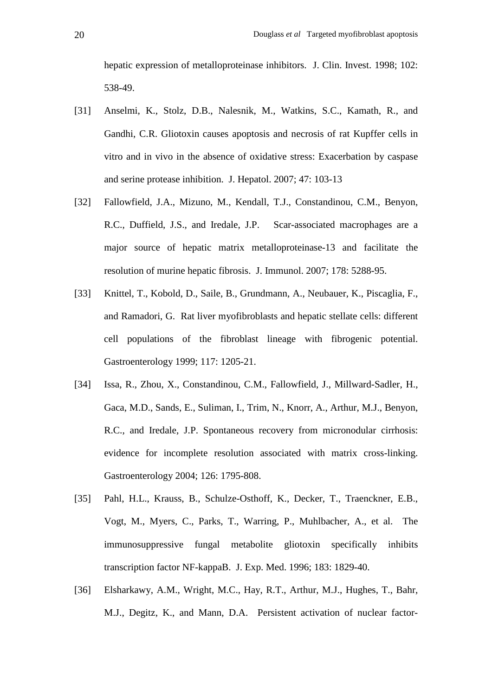hepatic expression of metalloproteinase inhibitors. J. Clin. Invest. 1998; 102: 538-49.

- [31] Anselmi, K., Stolz, D.B., Nalesnik, M., Watkins, S.C., Kamath, R., and Gandhi, C.R. Gliotoxin causes apoptosis and necrosis of rat Kupffer cells in vitro and in vivo in the absence of oxidative stress: Exacerbation by caspase and serine protease inhibition. J. Hepatol. 2007; 47: 103-13
- [32] Fallowfield, J.A., Mizuno, M., Kendall, T.J., Constandinou, C.M., Benyon, R.C., Duffield, J.S., and Iredale, J.P. Scar-associated macrophages are a major source of hepatic matrix metalloproteinase-13 and facilitate the resolution of murine hepatic fibrosis. J. Immunol. 2007; 178: 5288-95.
- [33] Knittel, T., Kobold, D., Saile, B., Grundmann, A., Neubauer, K., Piscaglia, F., and Ramadori, G. Rat liver myofibroblasts and hepatic stellate cells: different cell populations of the fibroblast lineage with fibrogenic potential. Gastroenterology 1999; 117: 1205-21.
- [34] Issa, R., Zhou, X., Constandinou, C.M., Fallowfield, J., Millward-Sadler, H., Gaca, M.D., Sands, E., Suliman, I., Trim, N., Knorr, A., Arthur, M.J., Benyon, R.C., and Iredale, J.P. Spontaneous recovery from micronodular cirrhosis: evidence for incomplete resolution associated with matrix cross-linking. Gastroenterology 2004; 126: 1795-808.
- [35] Pahl, H.L., Krauss, B., Schulze-Osthoff, K., Decker, T., Traenckner, E.B., Vogt, M., Myers, C., Parks, T., Warring, P., Muhlbacher, A., et al. The immunosuppressive fungal metabolite gliotoxin specifically inhibits transcription factor NF-kappaB. J. Exp. Med. 1996; 183: 1829-40.
- [36] Elsharkawy, A.M., Wright, M.C., Hay, R.T., Arthur, M.J., Hughes, T., Bahr, M.J., Degitz, K., and Mann, D.A. Persistent activation of nuclear factor-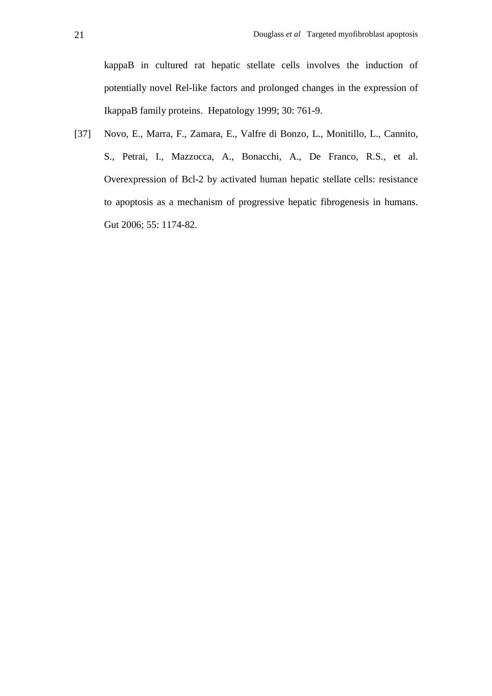kappaB in cultured rat hepatic stellate cells involves the induction of potentially novel Rel-like factors and prolonged changes in the expression of IkappaB family proteins. Hepatology 1999; 30: 761-9.

[37] Novo, E., Marra, F., Zamara, E., Valfre di Bonzo, L., Monitillo, L., Cannito, S., Petrai, I., Mazzocca, A., Bonacchi, A., De Franco, R.S., et al. Overexpression of Bcl-2 by activated human hepatic stellate cells: resistance to apoptosis as a mechanism of progressive hepatic fibrogenesis in humans. Gut 2006; 55: 1174-82.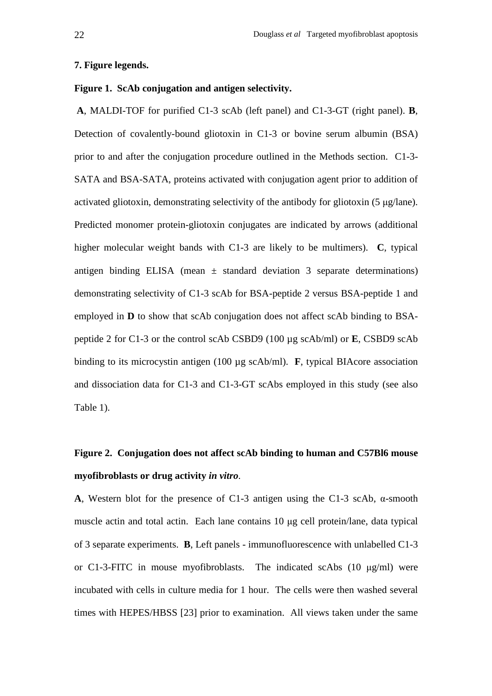#### **7. Figure legends.**

### **Figure 1. ScAb conjugation and antigen selectivity.**

 **A**, MALDI-TOF for purified C1-3 scAb (left panel) and C1-3-GT (right panel). **B**, Detection of covalently-bound gliotoxin in C1-3 or bovine serum albumin (BSA) prior to and after the conjugation procedure outlined in the Methods section. C1-3- SATA and BSA-SATA, proteins activated with conjugation agent prior to addition of activated gliotoxin, demonstrating selectivity of the antibody for gliotoxin (5 µg/lane). Predicted monomer protein-gliotoxin conjugates are indicated by arrows (additional higher molecular weight bands with C1-3 are likely to be multimers). **C**, typical antigen binding ELISA (mean  $\pm$  standard deviation 3 separate determinations) demonstrating selectivity of C1-3 scAb for BSA-peptide 2 versus BSA-peptide 1 and employed in **D** to show that scAb conjugation does not affect scAb binding to BSApeptide 2 for C1-3 or the control scAb CSBD9 (100 µg scAb/ml) or **E**, CSBD9 scAb binding to its microcystin antigen (100 µg scAb/ml). **F**, typical BIAcore association and dissociation data for C1-3 and C1-3-GT scAbs employed in this study (see also Table 1).

# **Figure 2. Conjugation does not affect scAb binding to human and C57Bl6 mouse myofibroblasts or drug activity** *in vitro*.

**A**, Western blot for the presence of C1-3 antigen using the C1-3 scAb, α-smooth muscle actin and total actin. Each lane contains 10 µg cell protein/lane, data typical of 3 separate experiments. **B**, Left panels - immunofluorescence with unlabelled C1-3 or C1-3-FITC in mouse myofibroblasts. The indicated scAbs (10 µg/ml) were incubated with cells in culture media for 1 hour. The cells were then washed several times with HEPES/HBSS [23] prior to examination. All views taken under the same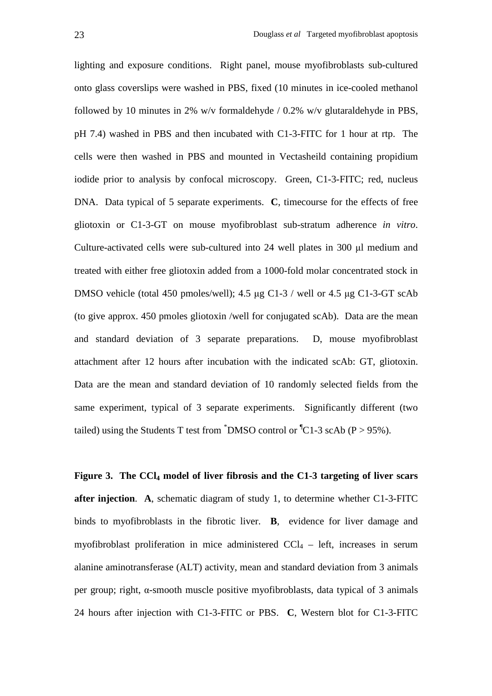lighting and exposure conditions. Right panel, mouse myofibroblasts sub-cultured onto glass coverslips were washed in PBS, fixed (10 minutes in ice-cooled methanol followed by 10 minutes in 2% w/v formaldehyde / 0.2% w/v glutaraldehyde in PBS, pH 7.4) washed in PBS and then incubated with C1-3-FITC for 1 hour at rtp. The cells were then washed in PBS and mounted in Vectasheild containing propidium iodide prior to analysis by confocal microscopy. Green, C1-3-FITC; red, nucleus DNA. Data typical of 5 separate experiments. **C**, timecourse for the effects of free gliotoxin or C1-3-GT on mouse myofibroblast sub-stratum adherence *in vitro*. Culture-activated cells were sub-cultured into 24 well plates in 300 µl medium and treated with either free gliotoxin added from a 1000-fold molar concentrated stock in DMSO vehicle (total 450 pmoles/well); 4.5 µg C1-3 / well or 4.5 µg C1-3-GT scAb (to give approx. 450 pmoles gliotoxin /well for conjugated scAb). Data are the mean and standard deviation of 3 separate preparations. D, mouse myofibroblast attachment after 12 hours after incubation with the indicated scAb: GT, gliotoxin. Data are the mean and standard deviation of 10 randomly selected fields from the same experiment, typical of 3 separate experiments. Significantly different (two tailed) using the Students T test from  $\textsuperscript{4}$ DMSO control or  $\textsuperscript{4}$ C1-3 scAb (P > 95%).

**Figure 3. The CCl4 model of liver fibrosis and the C1-3 targeting of liver scars after injection**. **A**, schematic diagram of study 1, to determine whether C1-3-FITC binds to myofibroblasts in the fibrotic liver. **B**, evidence for liver damage and myofibroblast proliferation in mice administered  $CCl<sub>4</sub> - left$ , increases in serum alanine aminotransferase (ALT) activity, mean and standard deviation from 3 animals per group; right, α-smooth muscle positive myofibroblasts, data typical of 3 animals 24 hours after injection with C1-3-FITC or PBS. **C**, Western blot for C1-3-FITC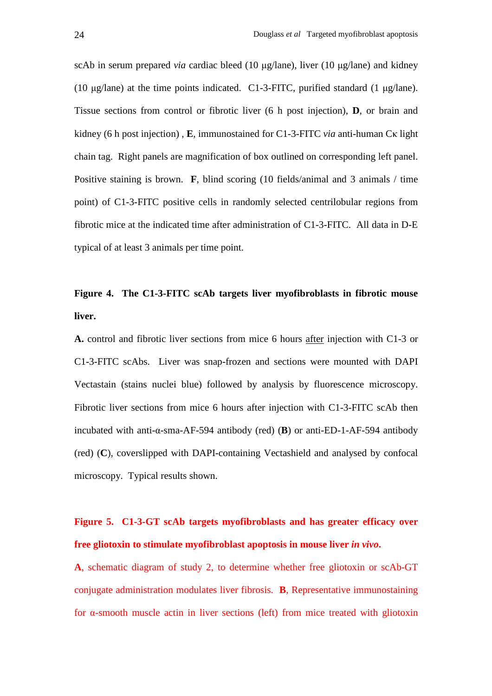scAb in serum prepared *via* cardiac bleed (10 µg/lane), liver (10 µg/lane) and kidney (10  $\mu$ g/lane) at the time points indicated. C1-3-FITC, purified standard (1  $\mu$ g/lane). Tissue sections from control or fibrotic liver (6 h post injection), **D**, or brain and kidney (6 h post injection) , **E**, immunostained for C1-3-FITC *via* anti-human Cκ light chain tag. Right panels are magnification of box outlined on corresponding left panel. Positive staining is brown. **F**, blind scoring (10 fields/animal and 3 animals / time point) of C1-3-FITC positive cells in randomly selected centrilobular regions from fibrotic mice at the indicated time after administration of C1-3-FITC. All data in D-E typical of at least 3 animals per time point.

# **Figure 4. The C1-3-FITC scAb targets liver myofibroblasts in fibrotic mouse liver.**

**A.** control and fibrotic liver sections from mice 6 hours after injection with C1-3 or C1-3-FITC scAbs. Liver was snap-frozen and sections were mounted with DAPI Vectastain (stains nuclei blue) followed by analysis by fluorescence microscopy. Fibrotic liver sections from mice 6 hours after injection with C1-3-FITC scAb then incubated with anti-α-sma-AF-594 antibody (red) (**B**) or anti-ED-1-AF-594 antibody (red) (**C**), coverslipped with DAPI-containing Vectashield and analysed by confocal microscopy. Typical results shown.

## **Figure 5. C1-3-GT scAb targets myofibroblasts and has greater efficacy over free gliotoxin to stimulate myofibroblast apoptosis in mouse liver** *in vivo***.**

**A**, schematic diagram of study 2, to determine whether free gliotoxin or scAb-GT conjugate administration modulates liver fibrosis. **B**, Representative immunostaining for α-smooth muscle actin in liver sections (left) from mice treated with gliotoxin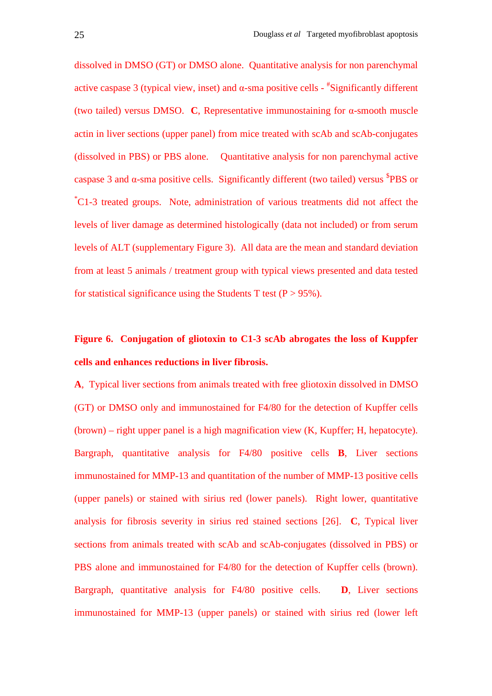dissolved in DMSO (GT) or DMSO alone. Quantitative analysis for non parenchymal active caspase 3 (typical view, inset) and  $\alpha$ -sma positive cells -  $*$ Significantly different (two tailed) versus DMSO. **C**, Representative immunostaining for α-smooth muscle actin in liver sections (upper panel) from mice treated with scAb and scAb-conjugates (dissolved in PBS) or PBS alone. Quantitative analysis for non parenchymal active caspase 3 and  $\alpha$ -sma positive cells. Significantly different (two tailed) versus  ${}^{5}$ PBS or \*C1-3 treated groups. Note, administration of various treatments did not affect the levels of liver damage as determined histologically (data not included) or from serum levels of ALT (supplementary Figure 3). All data are the mean and standard deviation from at least 5 animals / treatment group with typical views presented and data tested for statistical significance using the Students T test ( $P > 95\%$ ).

## **Figure 6. Conjugation of gliotoxin to C1-3 scAb abrogates the loss of Kuppfer cells and enhances reductions in liver fibrosis.**

**A**, Typical liver sections from animals treated with free gliotoxin dissolved in DMSO (GT) or DMSO only and immunostained for F4/80 for the detection of Kupffer cells (brown) – right upper panel is a high magnification view (K, Kupffer; H, hepatocyte). Bargraph, quantitative analysis for F4/80 positive cells **B**, Liver sections immunostained for MMP-13 and quantitation of the number of MMP-13 positive cells (upper panels) or stained with sirius red (lower panels). Right lower, quantitative analysis for fibrosis severity in sirius red stained sections [26]. **C**, Typical liver sections from animals treated with scAb and scAb-conjugates (dissolved in PBS) or PBS alone and immunostained for F4/80 for the detection of Kupffer cells (brown). Bargraph, quantitative analysis for F4/80 positive cells. **D**, Liver sections immunostained for MMP-13 (upper panels) or stained with sirius red (lower left